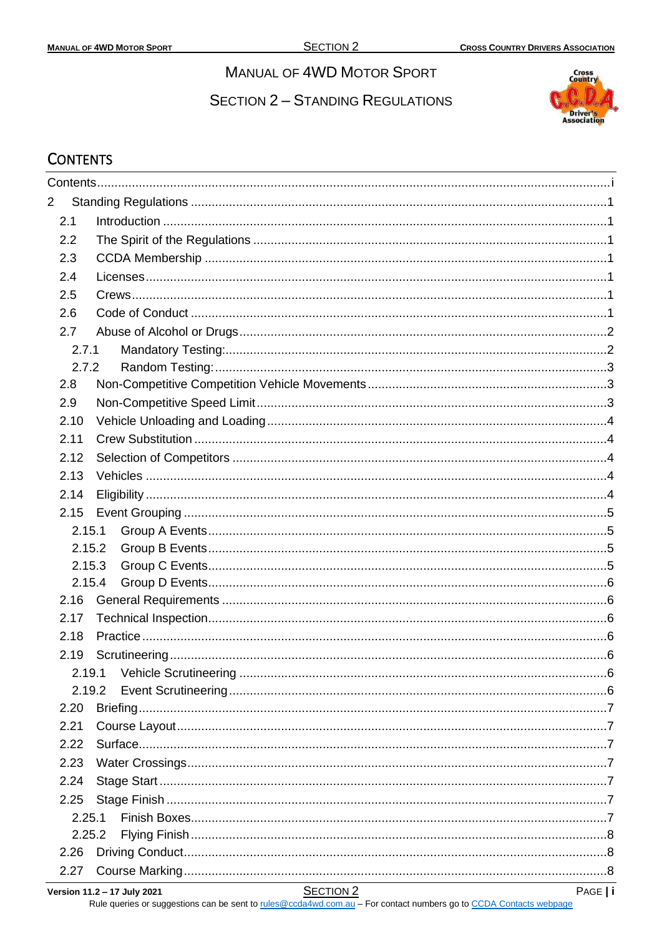# **MANUAL OF 4WD MOTOR SPORT**

**SECTION 2 - STANDING REGULATIONS** 



# <span id="page-0-0"></span>**CONTENTS**

| $\overline{2}$ |          |  |
|----------------|----------|--|
| 2.1            |          |  |
| 2.2            |          |  |
| 2.3            |          |  |
| 2.4            |          |  |
| 2.5            |          |  |
| 2.6            |          |  |
| 2.7            |          |  |
|                | 2.7.1    |  |
|                | 2.7.2    |  |
| 2.8            |          |  |
| 2.9            |          |  |
| 2.10           |          |  |
| 2.11           |          |  |
| 2.12           |          |  |
| 2.13           |          |  |
| 2.14           |          |  |
|                | 2.15     |  |
|                | 2.15.1   |  |
|                | 2.15.2   |  |
|                | 2.15.3   |  |
|                | 2.15.4   |  |
|                | 2.16     |  |
| 2.17           |          |  |
| 2.18           |          |  |
|                | 2.19     |  |
|                | 2.19.1   |  |
|                | 2.19.2   |  |
| 2.20           | Briefing |  |
| 2.21           |          |  |
|                | 2.22     |  |
| 2.23           |          |  |
| 2.24           |          |  |
|                | 2.25     |  |
|                | 2.25.1   |  |
|                | 2.25.2   |  |
|                | 2.26     |  |
| 2.27           |          |  |

Version 11.2 - 17 July 2021

Rule queries or suggestions can be sent to rules@ccda4wd.com.au - For contact numbers go to CCDA Contacts webpage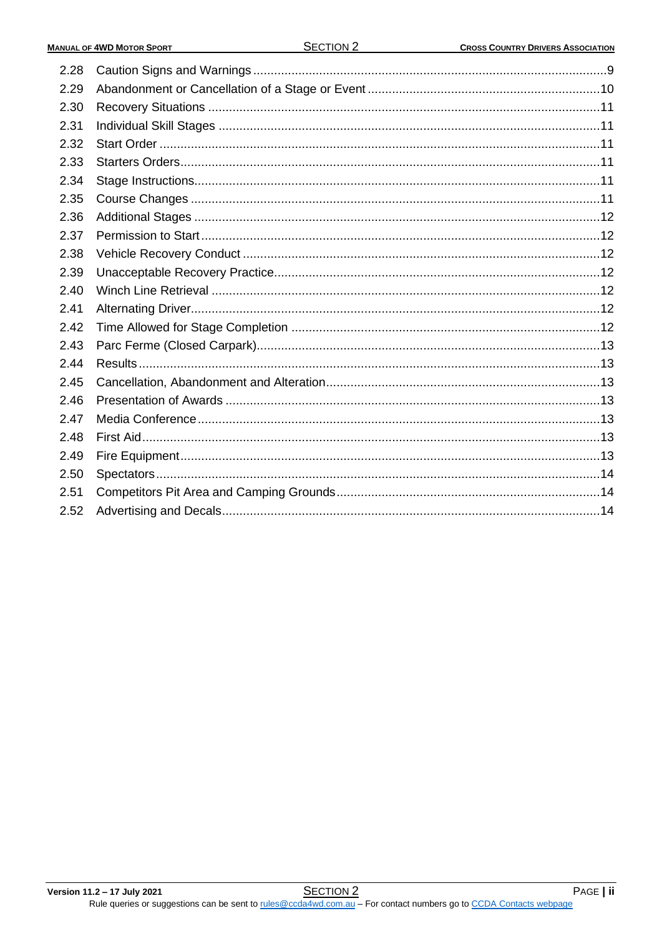| 2.28 |  |
|------|--|
| 2.29 |  |
| 2.30 |  |
| 2.31 |  |
| 2.32 |  |
| 2.33 |  |
| 2.34 |  |
| 2.35 |  |
| 2.36 |  |
| 2.37 |  |
| 2.38 |  |
| 2.39 |  |
| 2.40 |  |
| 2.41 |  |
| 2.42 |  |
| 2.43 |  |
| 2.44 |  |
| 2.45 |  |
| 2.46 |  |
| 2.47 |  |
| 2.48 |  |
| 2.49 |  |
| 2.50 |  |
| 2.51 |  |
| 2.52 |  |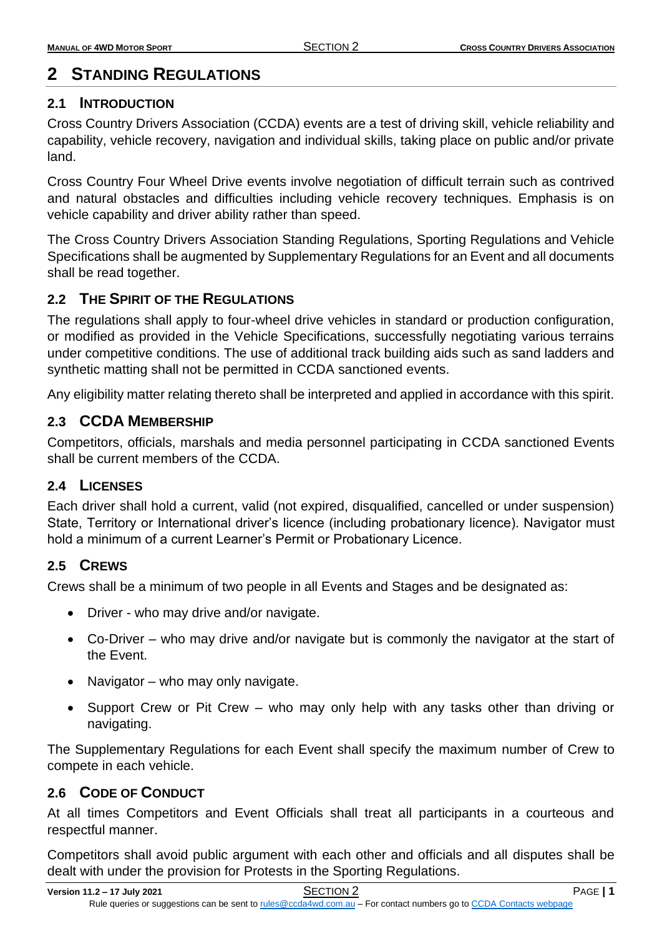# <span id="page-2-0"></span>**2 STANDING REGULATIONS**

## <span id="page-2-1"></span>**2.1 INTRODUCTION**

Cross Country Drivers Association (CCDA) events are a test of driving skill, vehicle reliability and capability, vehicle recovery, navigation and individual skills, taking place on public and/or private land.

Cross Country Four Wheel Drive events involve negotiation of difficult terrain such as contrived and natural obstacles and difficulties including vehicle recovery techniques. Emphasis is on vehicle capability and driver ability rather than speed.

The Cross Country Drivers Association Standing Regulations, Sporting Regulations and Vehicle Specifications shall be augmented by Supplementary Regulations for an Event and all documents shall be read together.

# <span id="page-2-2"></span>**2.2 THE SPIRIT OF THE REGULATIONS**

The regulations shall apply to four-wheel drive vehicles in standard or production configuration, or modified as provided in the Vehicle Specifications, successfully negotiating various terrains under competitive conditions. The use of additional track building aids such as sand ladders and synthetic matting shall not be permitted in CCDA sanctioned events.

Any eligibility matter relating thereto shall be interpreted and applied in accordance with this spirit.

# <span id="page-2-3"></span>**2.3 CCDA MEMBERSHIP**

Competitors, officials, marshals and media personnel participating in CCDA sanctioned Events shall be current members of the CCDA.

## <span id="page-2-4"></span>**2.4 LICENSES**

Each driver shall hold a current, valid (not expired, disqualified, cancelled or under suspension) State, Territory or International driver's licence (including probationary licence). Navigator must hold a minimum of a current Learner's Permit or Probationary Licence.

# <span id="page-2-5"></span>**2.5 CREWS**

Crews shall be a minimum of two people in all Events and Stages and be designated as:

- Driver who may drive and/or navigate.
- Co-Driver who may drive and/or navigate but is commonly the navigator at the start of the Event.
- Navigator who may only navigate.
- Support Crew or Pit Crew who may only help with any tasks other than driving or navigating.

The Supplementary Regulations for each Event shall specify the maximum number of Crew to compete in each vehicle.

# <span id="page-2-6"></span>**2.6 CODE OF CONDUCT**

At all times Competitors and Event Officials shall treat all participants in a courteous and respectful manner.

Competitors shall avoid public argument with each other and officials and all disputes shall be dealt with under the provision for Protests in the Sporting Regulations.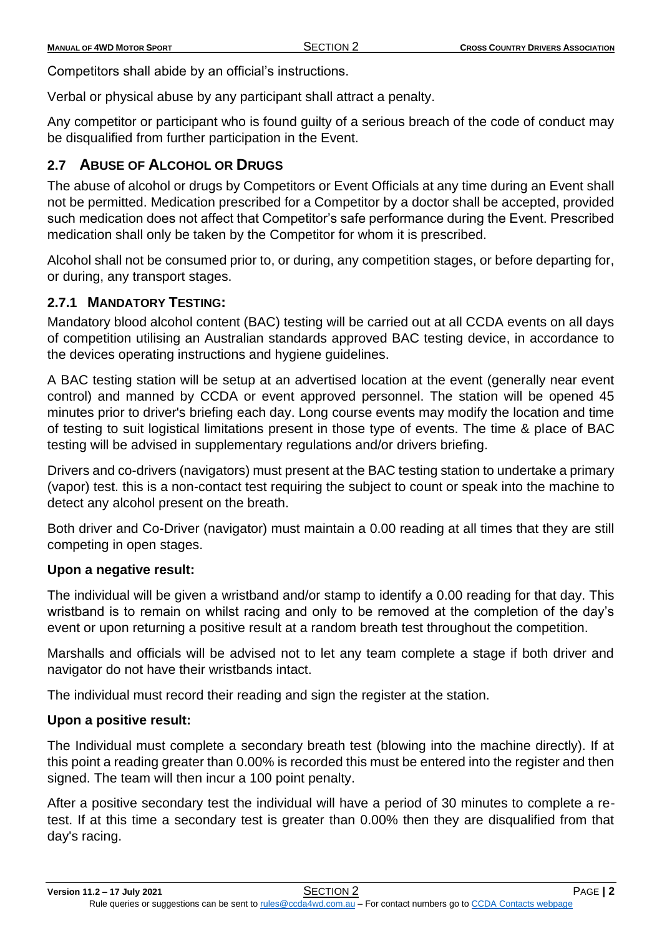Competitors shall abide by an official's instructions.

Verbal or physical abuse by any participant shall attract a penalty.

Any competitor or participant who is found guilty of a serious breach of the code of conduct may be disqualified from further participation in the Event.

# <span id="page-3-0"></span>**2.7 ABUSE OF ALCOHOL OR DRUGS**

The abuse of alcohol or drugs by Competitors or Event Officials at any time during an Event shall not be permitted. Medication prescribed for a Competitor by a doctor shall be accepted, provided such medication does not affect that Competitor's safe performance during the Event. Prescribed medication shall only be taken by the Competitor for whom it is prescribed.

Alcohol shall not be consumed prior to, or during, any competition stages, or before departing for, or during, any transport stages.

## <span id="page-3-1"></span>**2.7.1 MANDATORY TESTING:**

Mandatory blood alcohol content (BAC) testing will be carried out at all CCDA events on all days of competition utilising an Australian standards approved BAC testing device, in accordance to the devices operating instructions and hygiene guidelines.

A BAC testing station will be setup at an advertised location at the event (generally near event control) and manned by CCDA or event approved personnel. The station will be opened 45 minutes prior to driver's briefing each day. Long course events may modify the location and time of testing to suit logistical limitations present in those type of events. The time & place of BAC testing will be advised in supplementary regulations and/or drivers briefing.

Drivers and co-drivers (navigators) must present at the BAC testing station to undertake a primary (vapor) test. this is a non-contact test requiring the subject to count or speak into the machine to detect any alcohol present on the breath.

Both driver and Co-Driver (navigator) must maintain a 0.00 reading at all times that they are still competing in open stages.

### **Upon a negative result:**

The individual will be given a wristband and/or stamp to identify a 0.00 reading for that day. This wristband is to remain on whilst racing and only to be removed at the completion of the day's event or upon returning a positive result at a random breath test throughout the competition.

Marshalls and officials will be advised not to let any team complete a stage if both driver and navigator do not have their wristbands intact.

The individual must record their reading and sign the register at the station.

### **Upon a positive result:**

The Individual must complete a secondary breath test (blowing into the machine directly). If at this point a reading greater than 0.00% is recorded this must be entered into the register and then signed. The team will then incur a 100 point penalty.

After a positive secondary test the individual will have a period of 30 minutes to complete a retest. If at this time a secondary test is greater than 0.00% then they are disqualified from that day's racing.

**Version 11.2 – 17 July 2021** SECTION 2 PAGE **| 2**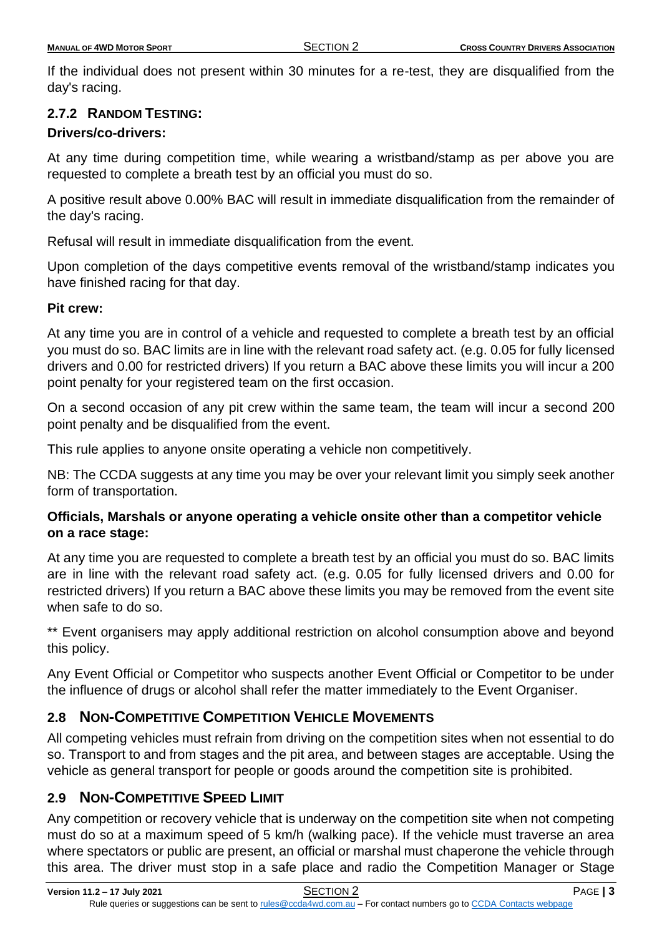If the individual does not present within 30 minutes for a re-test, they are disqualified from the day's racing.

## <span id="page-4-0"></span>**2.7.2 RANDOM TESTING:**

## **Drivers/co-drivers:**

At any time during competition time, while wearing a wristband/stamp as per above you are requested to complete a breath test by an official you must do so.

A positive result above 0.00% BAC will result in immediate disqualification from the remainder of the day's racing.

Refusal will result in immediate disqualification from the event.

Upon completion of the days competitive events removal of the wristband/stamp indicates you have finished racing for that day.

## **Pit crew:**

At any time you are in control of a vehicle and requested to complete a breath test by an official you must do so. BAC limits are in line with the relevant road safety act. (e.g. 0.05 for fully licensed drivers and 0.00 for restricted drivers) If you return a BAC above these limits you will incur a 200 point penalty for your registered team on the first occasion.

On a second occasion of any pit crew within the same team, the team will incur a second 200 point penalty and be disqualified from the event.

This rule applies to anyone onsite operating a vehicle non competitively.

NB: The CCDA suggests at any time you may be over your relevant limit you simply seek another form of transportation.

## **Officials, Marshals or anyone operating a vehicle onsite other than a competitor vehicle on a race stage:**

At any time you are requested to complete a breath test by an official you must do so. BAC limits are in line with the relevant road safety act. (e.g. 0.05 for fully licensed drivers and 0.00 for restricted drivers) If you return a BAC above these limits you may be removed from the event site when safe to do so.

\*\* Event organisers may apply additional restriction on alcohol consumption above and beyond this policy.

Any Event Official or Competitor who suspects another Event Official or Competitor to be under the influence of drugs or alcohol shall refer the matter immediately to the Event Organiser.

# <span id="page-4-1"></span>**2.8 NON-COMPETITIVE COMPETITION VEHICLE MOVEMENTS**

All competing vehicles must refrain from driving on the competition sites when not essential to do so. Transport to and from stages and the pit area, and between stages are acceptable. Using the vehicle as general transport for people or goods around the competition site is prohibited.

# <span id="page-4-2"></span>**2.9 NON-COMPETITIVE SPEED LIMIT**

Any competition or recovery vehicle that is underway on the competition site when not competing must do so at a maximum speed of 5 km/h (walking pace). If the vehicle must traverse an area where spectators or public are present, an official or marshal must chaperone the vehicle through this area. The driver must stop in a safe place and radio the Competition Manager or Stage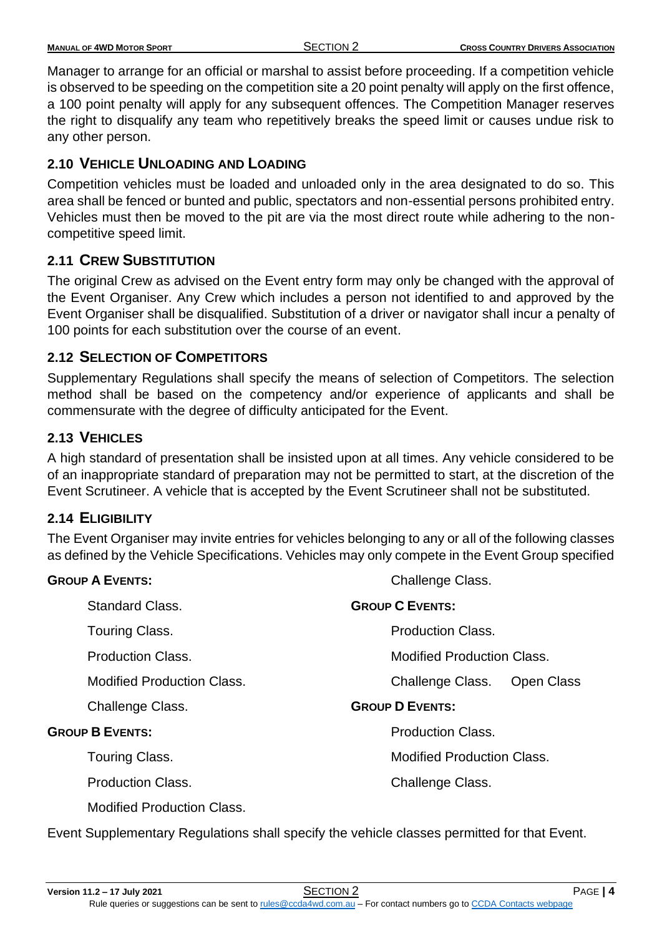| <b>MANUAL OF 4WD MOTOR SPORT</b> | <b>SECTION 2</b> | <b>CROSS COUNTRY DRIVERS ASSOCIATION</b> |
|----------------------------------|------------------|------------------------------------------|
|                                  |                  |                                          |

Manager to arrange for an official or marshal to assist before proceeding. If a competition vehicle is observed to be speeding on the competition site a 20 point penalty will apply on the first offence, a 100 point penalty will apply for any subsequent offences. The Competition Manager reserves the right to disqualify any team who repetitively breaks the speed limit or causes undue risk to any other person.

## <span id="page-5-0"></span>**2.10 VEHICLE UNLOADING AND LOADING**

Competition vehicles must be loaded and unloaded only in the area designated to do so. This area shall be fenced or bunted and public, spectators and non-essential persons prohibited entry. Vehicles must then be moved to the pit are via the most direct route while adhering to the noncompetitive speed limit.

# <span id="page-5-1"></span>**2.11 CREW SUBSTITUTION**

The original Crew as advised on the Event entry form may only be changed with the approval of the Event Organiser. Any Crew which includes a person not identified to and approved by the Event Organiser shall be disqualified. Substitution of a driver or navigator shall incur a penalty of 100 points for each substitution over the course of an event.

# <span id="page-5-2"></span>**2.12 SELECTION OF COMPETITORS**

Supplementary Regulations shall specify the means of selection of Competitors. The selection method shall be based on the competency and/or experience of applicants and shall be commensurate with the degree of difficulty anticipated for the Event.

## <span id="page-5-3"></span>**2.13 VEHICLES**

A high standard of presentation shall be insisted upon at all times. Any vehicle considered to be of an inappropriate standard of preparation may not be permitted to start, at the discretion of the Event Scrutineer. A vehicle that is accepted by the Event Scrutineer shall not be substituted.

## <span id="page-5-4"></span>**2.14 ELIGIBILITY**

The Event Organiser may invite entries for vehicles belonging to any or all of the following classes as defined by the Vehicle Specifications. Vehicles may only compete in the Event Group specified

| <b>GROUP A EVENTS:</b>            | Challenge Class.                      |
|-----------------------------------|---------------------------------------|
| <b>Standard Class.</b>            | <b>GROUP C EVENTS:</b>                |
| Touring Class.                    | <b>Production Class.</b>              |
| <b>Production Class.</b>          | <b>Modified Production Class.</b>     |
| <b>Modified Production Class.</b> | <b>Open Class</b><br>Challenge Class. |
| Challenge Class.                  | <b>GROUP D EVENTS:</b>                |
| <b>GROUP B EVENTS:</b>            | <b>Production Class.</b>              |
| Touring Class.                    | <b>Modified Production Class.</b>     |
| <b>Production Class.</b>          | Challenge Class.                      |
| <b>Modified Production Class.</b> |                                       |

Event Supplementary Regulations shall specify the vehicle classes permitted for that Event.

**Version 11.2 – 17 July 2021** SECTION 2 PAGE **| 4** Rule queries or suggestions can be sent to [rules@ccda4wd.com.au](mailto:rules@ccda4wd.com.au) - For contact numbers go to [CCDA Contacts webpage](https://ccda15.wildapricot.org/page-1362463)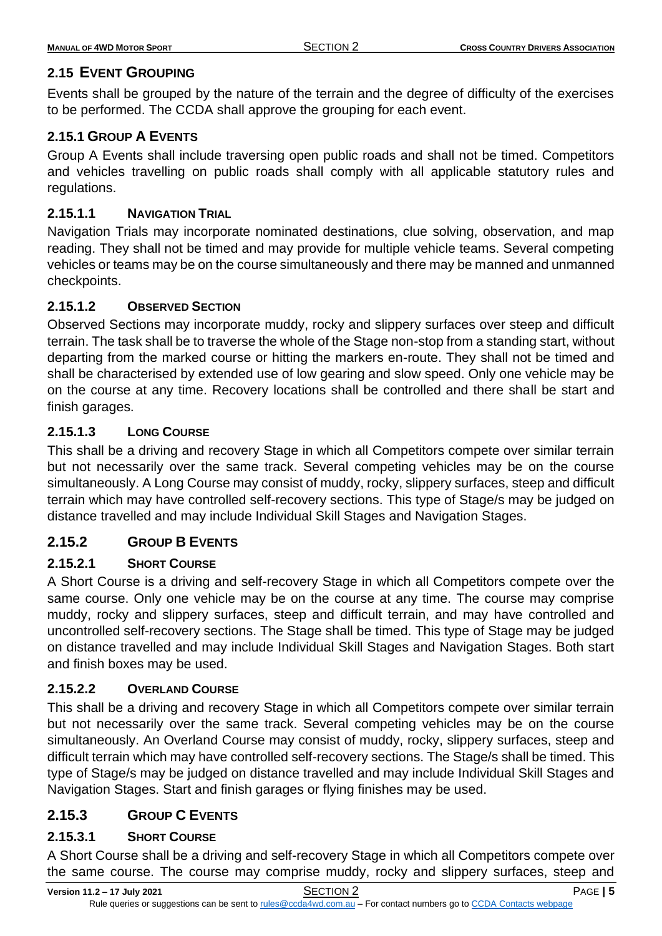# <span id="page-6-0"></span>**2.15 EVENT GROUPING**

Events shall be grouped by the nature of the terrain and the degree of difficulty of the exercises to be performed. The CCDA shall approve the grouping for each event.

# <span id="page-6-1"></span>**2.15.1 GROUP A EVENTS**

Group A Events shall include traversing open public roads and shall not be timed. Competitors and vehicles travelling on public roads shall comply with all applicable statutory rules and regulations.

# **2.15.1.1 NAVIGATION TRIAL**

Navigation Trials may incorporate nominated destinations, clue solving, observation, and map reading. They shall not be timed and may provide for multiple vehicle teams. Several competing vehicles or teams may be on the course simultaneously and there may be manned and unmanned checkpoints.

# **2.15.1.2 OBSERVED SECTION**

Observed Sections may incorporate muddy, rocky and slippery surfaces over steep and difficult terrain. The task shall be to traverse the whole of the Stage non-stop from a standing start, without departing from the marked course or hitting the markers en-route. They shall not be timed and shall be characterised by extended use of low gearing and slow speed. Only one vehicle may be on the course at any time. Recovery locations shall be controlled and there shall be start and finish garages.

# **2.15.1.3 LONG COURSE**

This shall be a driving and recovery Stage in which all Competitors compete over similar terrain but not necessarily over the same track. Several competing vehicles may be on the course simultaneously. A Long Course may consist of muddy, rocky, slippery surfaces, steep and difficult terrain which may have controlled self-recovery sections. This type of Stage/s may be judged on distance travelled and may include Individual Skill Stages and Navigation Stages.

# <span id="page-6-2"></span>**2.15.2 GROUP B EVENTS**

# **2.15.2.1 SHORT COURSE**

A Short Course is a driving and self-recovery Stage in which all Competitors compete over the same course. Only one vehicle may be on the course at any time. The course may comprise muddy, rocky and slippery surfaces, steep and difficult terrain, and may have controlled and uncontrolled self-recovery sections. The Stage shall be timed. This type of Stage may be judged on distance travelled and may include Individual Skill Stages and Navigation Stages. Both start and finish boxes may be used.

## **2.15.2.2 OVERLAND COURSE**

This shall be a driving and recovery Stage in which all Competitors compete over similar terrain but not necessarily over the same track. Several competing vehicles may be on the course simultaneously. An Overland Course may consist of muddy, rocky, slippery surfaces, steep and difficult terrain which may have controlled self-recovery sections. The Stage/s shall be timed. This type of Stage/s may be judged on distance travelled and may include Individual Skill Stages and Navigation Stages. Start and finish garages or flying finishes may be used.

# <span id="page-6-3"></span>**2.15.3 GROUP C EVENTS**

## **2.15.3.1 SHORT COURSE**

A Short Course shall be a driving and self-recovery Stage in which all Competitors compete over the same course. The course may comprise muddy, rocky and slippery surfaces, steep and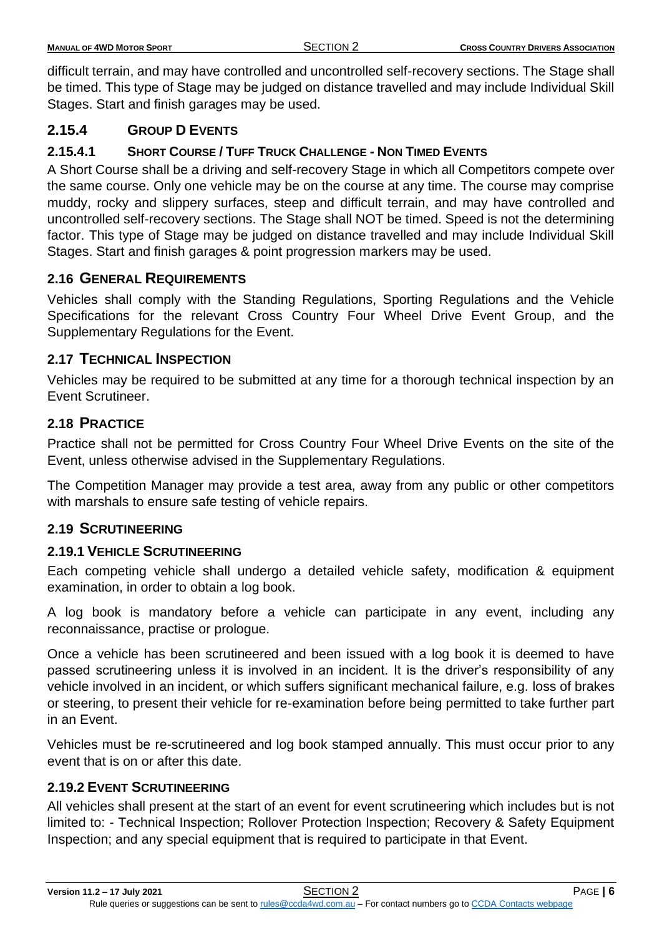| <b>MANUAL OF 4WD MOTOR SPORT</b> | SECTION 2 | <b>CROSS COUNTRY DRIVERS ASSOCIATION</b> |
|----------------------------------|-----------|------------------------------------------|
|                                  |           |                                          |

difficult terrain, and may have controlled and uncontrolled self-recovery sections. The Stage shall be timed. This type of Stage may be judged on distance travelled and may include Individual Skill Stages. Start and finish garages may be used.

## <span id="page-7-0"></span>**2.15.4 GROUP D EVENTS**

## **2.15.4.1 SHORT COURSE / TUFF TRUCK CHALLENGE - NON TIMED EVENTS**

A Short Course shall be a driving and self-recovery Stage in which all Competitors compete over the same course. Only one vehicle may be on the course at any time. The course may comprise muddy, rocky and slippery surfaces, steep and difficult terrain, and may have controlled and uncontrolled self-recovery sections. The Stage shall NOT be timed. Speed is not the determining factor. This type of Stage may be judged on distance travelled and may include Individual Skill Stages. Start and finish garages & point progression markers may be used.

## <span id="page-7-1"></span>**2.16 GENERAL REQUIREMENTS**

Vehicles shall comply with the Standing Regulations, Sporting Regulations and the Vehicle Specifications for the relevant Cross Country Four Wheel Drive Event Group, and the Supplementary Regulations for the Event.

# <span id="page-7-2"></span>**2.17 TECHNICAL INSPECTION**

Vehicles may be required to be submitted at any time for a thorough technical inspection by an Event Scrutineer.

## <span id="page-7-3"></span>**2.18 PRACTICE**

Practice shall not be permitted for Cross Country Four Wheel Drive Events on the site of the Event, unless otherwise advised in the Supplementary Regulations.

The Competition Manager may provide a test area, away from any public or other competitors with marshals to ensure safe testing of vehicle repairs.

## <span id="page-7-4"></span>**2.19 SCRUTINEERING**

### <span id="page-7-5"></span>**2.19.1 VEHICLE SCRUTINEERING**

Each competing vehicle shall undergo a detailed vehicle safety, modification & equipment examination, in order to obtain a log book.

A log book is mandatory before a vehicle can participate in any event, including any reconnaissance, practise or prologue.

Once a vehicle has been scrutineered and been issued with a log book it is deemed to have passed scrutineering unless it is involved in an incident. It is the driver's responsibility of any vehicle involved in an incident, or which suffers significant mechanical failure, e.g. loss of brakes or steering, to present their vehicle for re-examination before being permitted to take further part in an Event.

Vehicles must be re-scrutineered and log book stamped annually. This must occur prior to any event that is on or after this date.

# <span id="page-7-6"></span>**2.19.2 EVENT SCRUTINEERING**

All vehicles shall present at the start of an event for event scrutineering which includes but is not limited to: - Technical Inspection; Rollover Protection Inspection; Recovery & Safety Equipment Inspection; and any special equipment that is required to participate in that Event.

**Version 11.2 – 17 July 2021** SECTION 2 PAGE **| 6**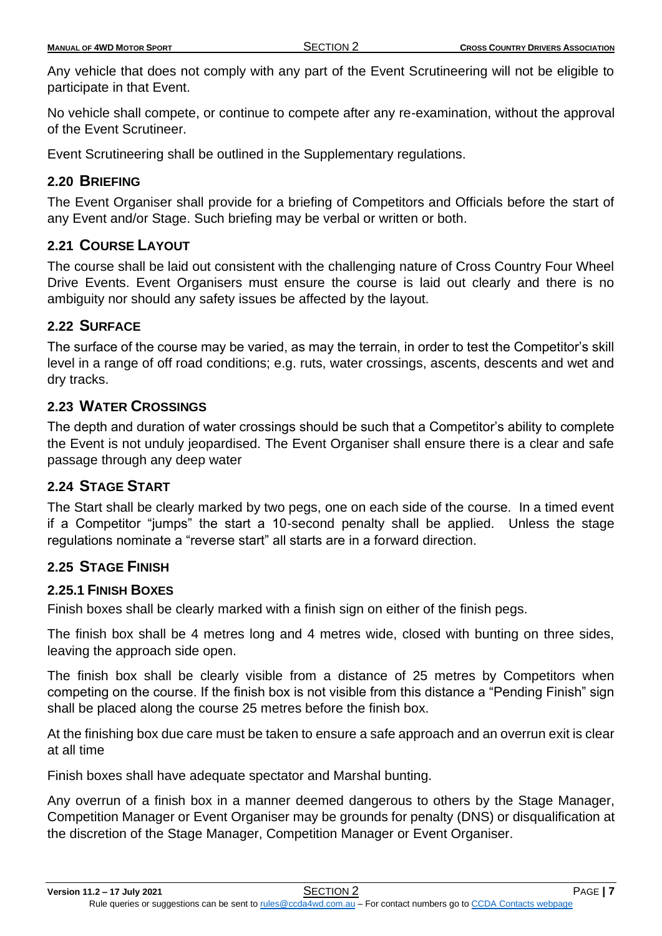| <b>SECTION 2</b><br><b>MANUAL OF 4WD MOTOR SPORT</b> | <b>CROSS COUNTRY DRIVERS ASSOCIATION</b> |
|------------------------------------------------------|------------------------------------------|
|                                                      |                                          |

Any vehicle that does not comply with any part of the Event Scrutineering will not be eligible to participate in that Event.

No vehicle shall compete, or continue to compete after any re-examination, without the approval of the Event Scrutineer.

Event Scrutineering shall be outlined in the Supplementary regulations.

# <span id="page-8-0"></span>**2.20 BRIEFING**

The Event Organiser shall provide for a briefing of Competitors and Officials before the start of any Event and/or Stage. Such briefing may be verbal or written or both.

# <span id="page-8-1"></span>**2.21 COURSE LAYOUT**

The course shall be laid out consistent with the challenging nature of Cross Country Four Wheel Drive Events. Event Organisers must ensure the course is laid out clearly and there is no ambiguity nor should any safety issues be affected by the layout.

## <span id="page-8-2"></span>**2.22 SURFACE**

The surface of the course may be varied, as may the terrain, in order to test the Competitor's skill level in a range of off road conditions; e.g. ruts, water crossings, ascents, descents and wet and dry tracks.

# <span id="page-8-3"></span>**2.23 WATER CROSSINGS**

The depth and duration of water crossings should be such that a Competitor's ability to complete the Event is not unduly jeopardised. The Event Organiser shall ensure there is a clear and safe passage through any deep water

# <span id="page-8-4"></span>**2.24 STAGE START**

The Start shall be clearly marked by two pegs, one on each side of the course. In a timed event if a Competitor "jumps" the start a 10-second penalty shall be applied. Unless the stage regulations nominate a "reverse start" all starts are in a forward direction.

# <span id="page-8-5"></span>**2.25 STAGE FINISH**

## <span id="page-8-6"></span>**2.25.1 FINISH BOXES**

Finish boxes shall be clearly marked with a finish sign on either of the finish pegs.

The finish box shall be 4 metres long and 4 metres wide, closed with bunting on three sides, leaving the approach side open.

The finish box shall be clearly visible from a distance of 25 metres by Competitors when competing on the course. If the finish box is not visible from this distance a "Pending Finish" sign shall be placed along the course 25 metres before the finish box.

At the finishing box due care must be taken to ensure a safe approach and an overrun exit is clear at all time

Finish boxes shall have adequate spectator and Marshal bunting.

Any overrun of a finish box in a manner deemed dangerous to others by the Stage Manager, Competition Manager or Event Organiser may be grounds for penalty (DNS) or disqualification at the discretion of the Stage Manager, Competition Manager or Event Organiser.

**Version 11.2 – 17 July 2021** SECTION 2 PAGE **| 7**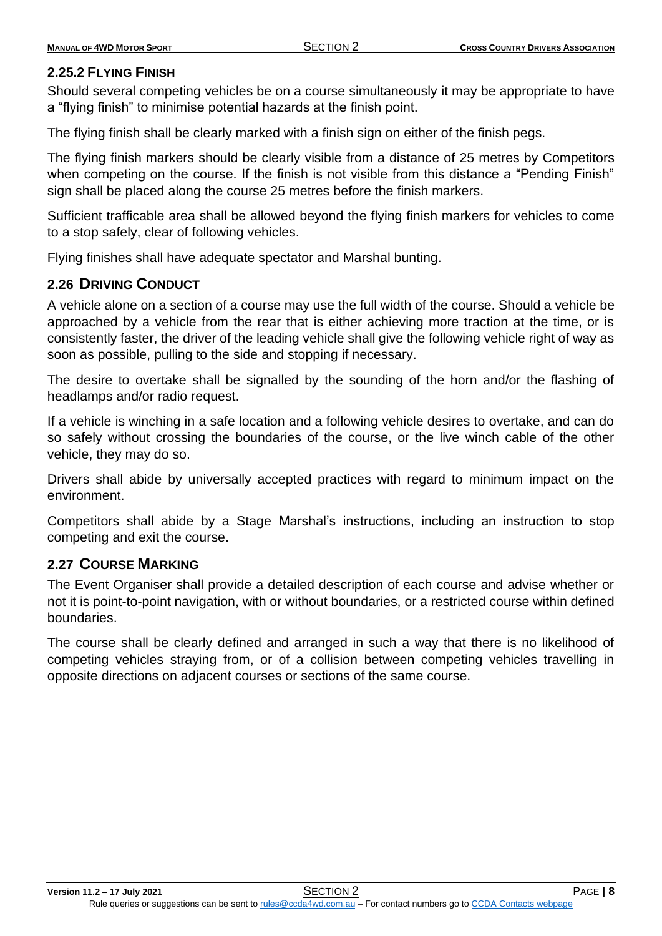# <span id="page-9-0"></span>**2.25.2 FLYING FINISH**

Should several competing vehicles be on a course simultaneously it may be appropriate to have a "flying finish" to minimise potential hazards at the finish point.

The flying finish shall be clearly marked with a finish sign on either of the finish pegs.

The flying finish markers should be clearly visible from a distance of 25 metres by Competitors when competing on the course. If the finish is not visible from this distance a "Pending Finish" sign shall be placed along the course 25 metres before the finish markers.

Sufficient trafficable area shall be allowed beyond the flying finish markers for vehicles to come to a stop safely, clear of following vehicles.

Flying finishes shall have adequate spectator and Marshal bunting.

# <span id="page-9-1"></span>**2.26 DRIVING CONDUCT**

A vehicle alone on a section of a course may use the full width of the course. Should a vehicle be approached by a vehicle from the rear that is either achieving more traction at the time, or is consistently faster, the driver of the leading vehicle shall give the following vehicle right of way as soon as possible, pulling to the side and stopping if necessary.

The desire to overtake shall be signalled by the sounding of the horn and/or the flashing of headlamps and/or radio request.

If a vehicle is winching in a safe location and a following vehicle desires to overtake, and can do so safely without crossing the boundaries of the course, or the live winch cable of the other vehicle, they may do so.

Drivers shall abide by universally accepted practices with regard to minimum impact on the environment.

Competitors shall abide by a Stage Marshal's instructions, including an instruction to stop competing and exit the course.

## <span id="page-9-2"></span>**2.27 COURSE MARKING**

The Event Organiser shall provide a detailed description of each course and advise whether or not it is point-to-point navigation, with or without boundaries, or a restricted course within defined boundaries.

The course shall be clearly defined and arranged in such a way that there is no likelihood of competing vehicles straying from, or of a collision between competing vehicles travelling in opposite directions on adjacent courses or sections of the same course.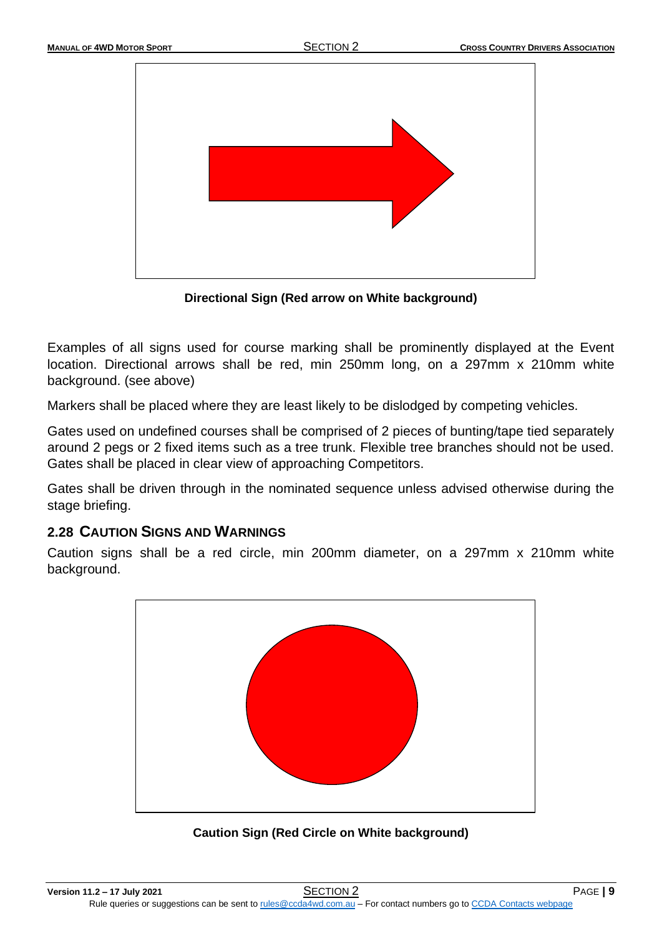

**Directional Sign (Red arrow on White background)**

Examples of all signs used for course marking shall be prominently displayed at the Event location. Directional arrows shall be red, min 250mm long, on a 297mm x 210mm white background. (see above)

Markers shall be placed where they are least likely to be dislodged by competing vehicles.

Gates used on undefined courses shall be comprised of 2 pieces of bunting/tape tied separately around 2 pegs or 2 fixed items such as a tree trunk. Flexible tree branches should not be used. Gates shall be placed in clear view of approaching Competitors.

Gates shall be driven through in the nominated sequence unless advised otherwise during the stage briefing.

# <span id="page-10-0"></span>**2.28 CAUTION SIGNS AND WARNINGS**

Caution signs shall be a red circle, min 200mm diameter, on a 297mm x 210mm white background.



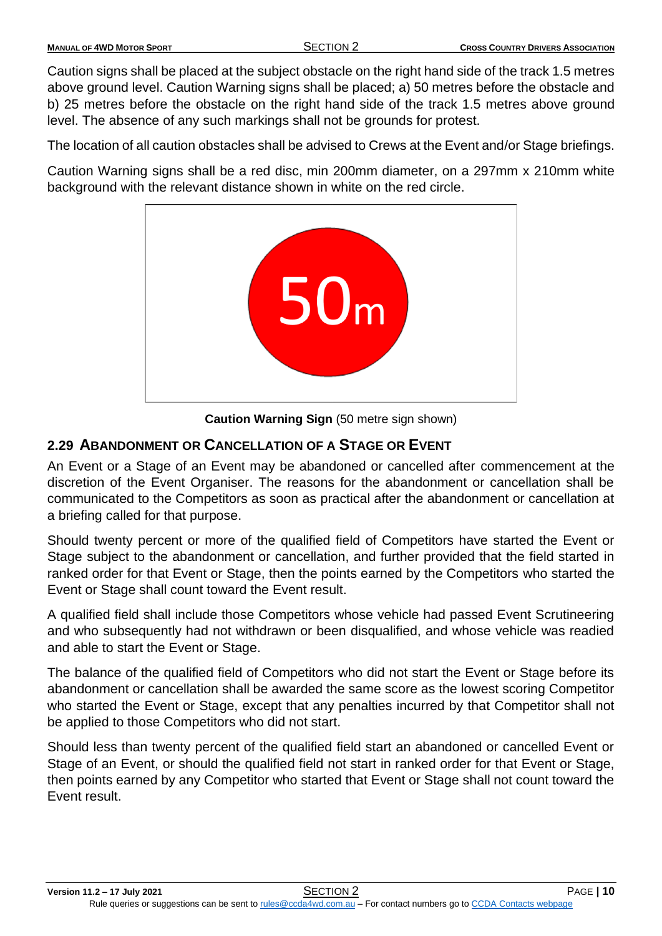Caution signs shall be placed at the subject obstacle on the right hand side of the track 1.5 metres above ground level. Caution Warning signs shall be placed; a) 50 metres before the obstacle and b) 25 metres before the obstacle on the right hand side of the track 1.5 metres above ground level. The absence of any such markings shall not be grounds for protest.

The location of all caution obstacles shall be advised to Crews at the Event and/or Stage briefings.

Caution Warning signs shall be a red disc, min 200mm diameter, on a 297mm x 210mm white background with the relevant distance shown in white on the red circle.



**Caution Warning Sign** (50 metre sign shown)

# <span id="page-11-0"></span>**2.29 ABANDONMENT OR CANCELLATION OF A STAGE OR EVENT**

An Event or a Stage of an Event may be abandoned or cancelled after commencement at the discretion of the Event Organiser. The reasons for the abandonment or cancellation shall be communicated to the Competitors as soon as practical after the abandonment or cancellation at a briefing called for that purpose.

Should twenty percent or more of the qualified field of Competitors have started the Event or Stage subject to the abandonment or cancellation, and further provided that the field started in ranked order for that Event or Stage, then the points earned by the Competitors who started the Event or Stage shall count toward the Event result.

A qualified field shall include those Competitors whose vehicle had passed Event Scrutineering and who subsequently had not withdrawn or been disqualified, and whose vehicle was readied and able to start the Event or Stage.

The balance of the qualified field of Competitors who did not start the Event or Stage before its abandonment or cancellation shall be awarded the same score as the lowest scoring Competitor who started the Event or Stage, except that any penalties incurred by that Competitor shall not be applied to those Competitors who did not start.

Should less than twenty percent of the qualified field start an abandoned or cancelled Event or Stage of an Event, or should the qualified field not start in ranked order for that Event or Stage, then points earned by any Competitor who started that Event or Stage shall not count toward the Event result.

**Version 11.2 – 17 July 2021** SECTION 2 PAGE **| 10**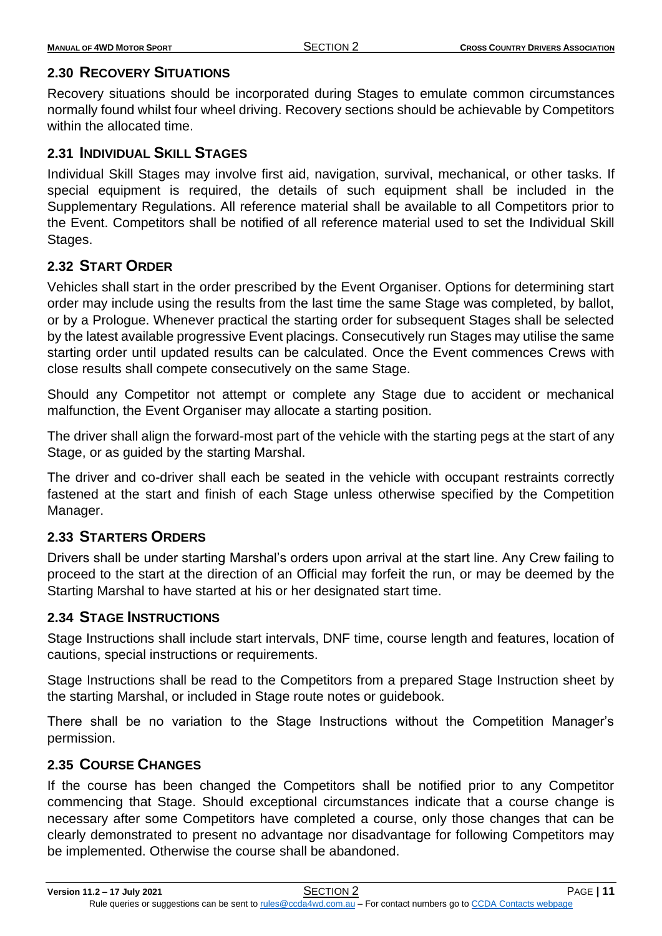## <span id="page-12-0"></span>**2.30 RECOVERY SITUATIONS**

Recovery situations should be incorporated during Stages to emulate common circumstances normally found whilst four wheel driving. Recovery sections should be achievable by Competitors within the allocated time.

## <span id="page-12-1"></span>**2.31 INDIVIDUAL SKILL STAGES**

Individual Skill Stages may involve first aid, navigation, survival, mechanical, or other tasks. If special equipment is required, the details of such equipment shall be included in the Supplementary Regulations. All reference material shall be available to all Competitors prior to the Event. Competitors shall be notified of all reference material used to set the Individual Skill Stages.

# <span id="page-12-2"></span>**2.32 START ORDER**

Vehicles shall start in the order prescribed by the Event Organiser. Options for determining start order may include using the results from the last time the same Stage was completed, by ballot, or by a Prologue. Whenever practical the starting order for subsequent Stages shall be selected by the latest available progressive Event placings. Consecutively run Stages may utilise the same starting order until updated results can be calculated. Once the Event commences Crews with close results shall compete consecutively on the same Stage.

Should any Competitor not attempt or complete any Stage due to accident or mechanical malfunction, the Event Organiser may allocate a starting position.

The driver shall align the forward-most part of the vehicle with the starting pegs at the start of any Stage, or as guided by the starting Marshal.

The driver and co-driver shall each be seated in the vehicle with occupant restraints correctly fastened at the start and finish of each Stage unless otherwise specified by the Competition Manager.

# <span id="page-12-3"></span>**2.33 STARTERS ORDERS**

Drivers shall be under starting Marshal's orders upon arrival at the start line. Any Crew failing to proceed to the start at the direction of an Official may forfeit the run, or may be deemed by the Starting Marshal to have started at his or her designated start time.

## <span id="page-12-4"></span>**2.34 STAGE INSTRUCTIONS**

Stage Instructions shall include start intervals, DNF time, course length and features, location of cautions, special instructions or requirements.

Stage Instructions shall be read to the Competitors from a prepared Stage Instruction sheet by the starting Marshal, or included in Stage route notes or guidebook.

There shall be no variation to the Stage Instructions without the Competition Manager's permission.

## <span id="page-12-5"></span>**2.35 COURSE CHANGES**

If the course has been changed the Competitors shall be notified prior to any Competitor commencing that Stage. Should exceptional circumstances indicate that a course change is necessary after some Competitors have completed a course, only those changes that can be clearly demonstrated to present no advantage nor disadvantage for following Competitors may be implemented. Otherwise the course shall be abandoned.

**Version 11.2 – 17 July 2021** SECTION 2 PAGE **| 11**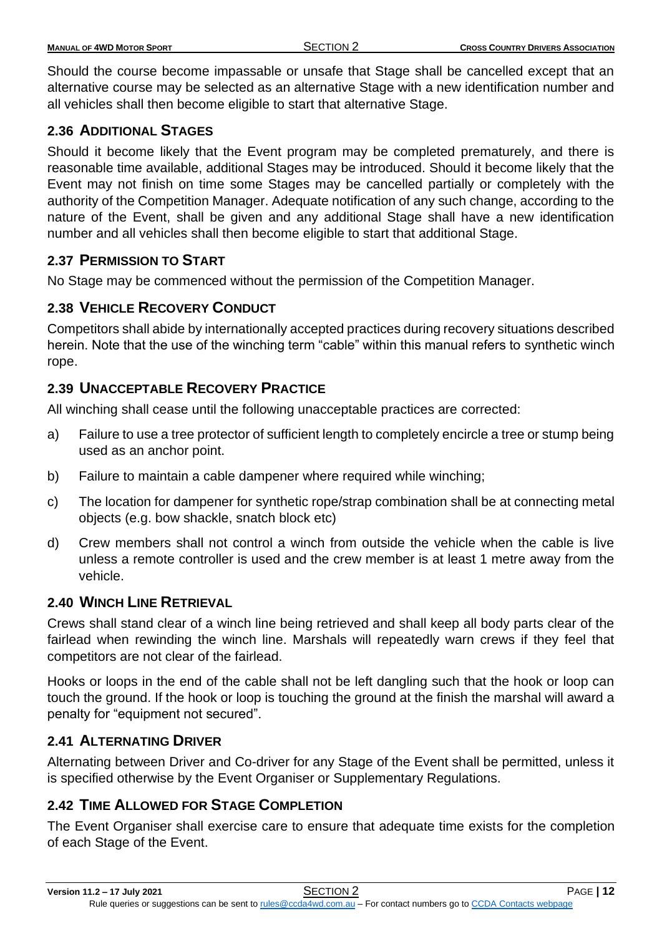Should the course become impassable or unsafe that Stage shall be cancelled except that an alternative course may be selected as an alternative Stage with a new identification number and all vehicles shall then become eligible to start that alternative Stage.

# <span id="page-13-0"></span>**2.36 ADDITIONAL STAGES**

Should it become likely that the Event program may be completed prematurely, and there is reasonable time available, additional Stages may be introduced. Should it become likely that the Event may not finish on time some Stages may be cancelled partially or completely with the authority of the Competition Manager. Adequate notification of any such change, according to the nature of the Event, shall be given and any additional Stage shall have a new identification number and all vehicles shall then become eligible to start that additional Stage.

# <span id="page-13-1"></span>**2.37 PERMISSION TO START**

No Stage may be commenced without the permission of the Competition Manager.

# <span id="page-13-2"></span>**2.38 VEHICLE RECOVERY CONDUCT**

Competitors shall abide by internationally accepted practices during recovery situations described herein. Note that the use of the winching term "cable" within this manual refers to synthetic winch rope.

# <span id="page-13-3"></span>**2.39 UNACCEPTABLE RECOVERY PRACTICE**

All winching shall cease until the following unacceptable practices are corrected:

- a) Failure to use a tree protector of sufficient length to completely encircle a tree or stump being used as an anchor point.
- b) Failure to maintain a cable dampener where required while winching;
- c) The location for dampener for synthetic rope/strap combination shall be at connecting metal objects (e.g. bow shackle, snatch block etc)
- d) Crew members shall not control a winch from outside the vehicle when the cable is live unless a remote controller is used and the crew member is at least 1 metre away from the vehicle.

# <span id="page-13-4"></span>**2.40 WINCH LINE RETRIEVAL**

Crews shall stand clear of a winch line being retrieved and shall keep all body parts clear of the fairlead when rewinding the winch line. Marshals will repeatedly warn crews if they feel that competitors are not clear of the fairlead.

Hooks or loops in the end of the cable shall not be left dangling such that the hook or loop can touch the ground. If the hook or loop is touching the ground at the finish the marshal will award a penalty for "equipment not secured".

## <span id="page-13-5"></span>**2.41 ALTERNATING DRIVER**

Alternating between Driver and Co-driver for any Stage of the Event shall be permitted, unless it is specified otherwise by the Event Organiser or Supplementary Regulations.

# <span id="page-13-6"></span>**2.42 TIME ALLOWED FOR STAGE COMPLETION**

The Event Organiser shall exercise care to ensure that adequate time exists for the completion of each Stage of the Event.

**Version 11.2 – 17 July 2021** SECTION 2 PAGE **| 12**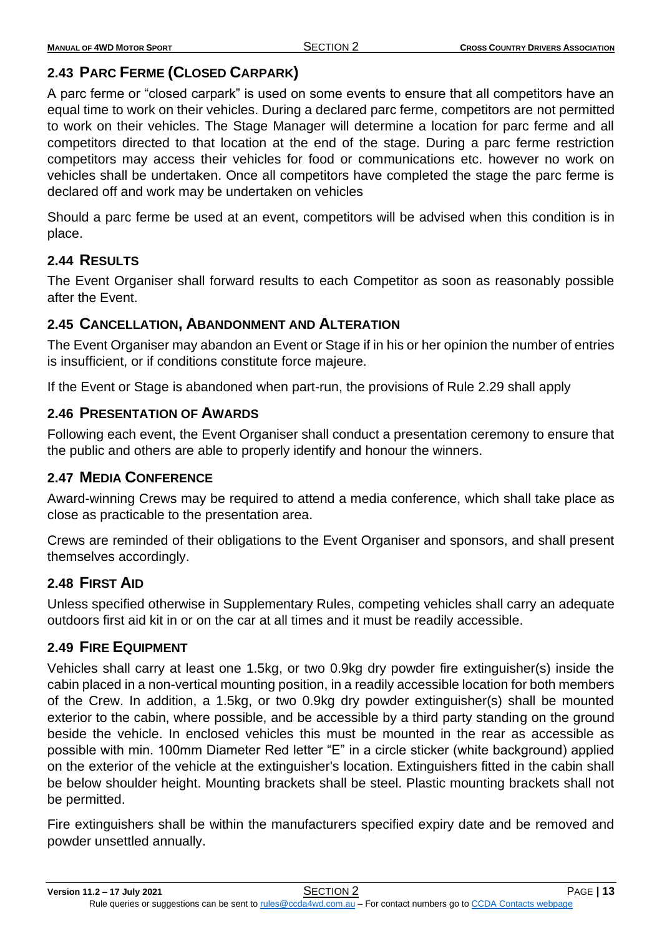# <span id="page-14-0"></span>**2.43 PARC FERME (CLOSED CARPARK)**

A parc ferme or "closed carpark" is used on some events to ensure that all competitors have an equal time to work on their vehicles. During a declared parc ferme, competitors are not permitted to work on their vehicles. The Stage Manager will determine a location for parc ferme and all competitors directed to that location at the end of the stage. During a parc ferme restriction competitors may access their vehicles for food or communications etc. however no work on vehicles shall be undertaken. Once all competitors have completed the stage the parc ferme is declared off and work may be undertaken on vehicles

Should a parc ferme be used at an event, competitors will be advised when this condition is in place.

# <span id="page-14-1"></span>**2.44 RESULTS**

The Event Organiser shall forward results to each Competitor as soon as reasonably possible after the Event.

## <span id="page-14-2"></span>**2.45 CANCELLATION, ABANDONMENT AND ALTERATION**

The Event Organiser may abandon an Event or Stage if in his or her opinion the number of entries is insufficient, or if conditions constitute force majeure.

If the Event or Stage is abandoned when part-run, the provisions of Rule 2.29 shall apply

## <span id="page-14-3"></span>**2.46 PRESENTATION OF AWARDS**

Following each event, the Event Organiser shall conduct a presentation ceremony to ensure that the public and others are able to properly identify and honour the winners.

# <span id="page-14-4"></span>**2.47 MEDIA CONFERENCE**

Award-winning Crews may be required to attend a media conference, which shall take place as close as practicable to the presentation area.

Crews are reminded of their obligations to the Event Organiser and sponsors, and shall present themselves accordingly.

## <span id="page-14-5"></span>**2.48 FIRST AID**

Unless specified otherwise in Supplementary Rules, competing vehicles shall carry an adequate outdoors first aid kit in or on the car at all times and it must be readily accessible.

## <span id="page-14-6"></span>**2.49 FIRE EQUIPMENT**

Vehicles shall carry at least one 1.5kg, or two 0.9kg dry powder fire extinguisher(s) inside the cabin placed in a non-vertical mounting position, in a readily accessible location for both members of the Crew. In addition, a 1.5kg, or two 0.9kg dry powder extinguisher(s) shall be mounted exterior to the cabin, where possible, and be accessible by a third party standing on the ground beside the vehicle. In enclosed vehicles this must be mounted in the rear as accessible as possible with min. 100mm Diameter Red letter "E" in a circle sticker (white background) applied on the exterior of the vehicle at the extinguisher's location. Extinguishers fitted in the cabin shall be below shoulder height. Mounting brackets shall be steel. Plastic mounting brackets shall not be permitted.

Fire extinguishers shall be within the manufacturers specified expiry date and be removed and powder unsettled annually.

**Version 11.2 – 17 July 2021** SECTION 2 PAGE **| 13**